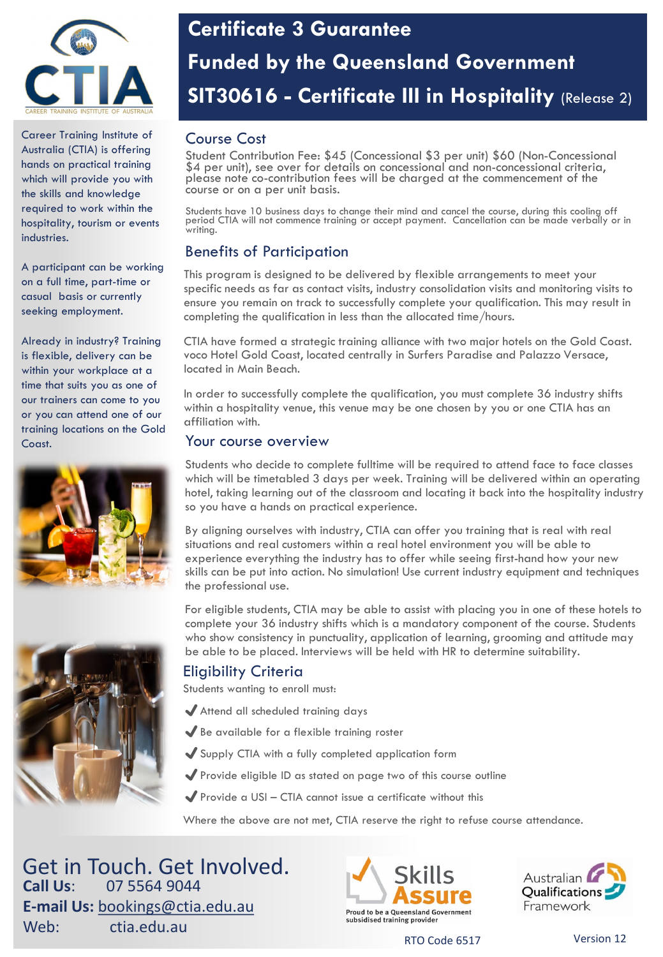

Career Training Institute of Australia (CTIA) is offering hands on practical training which will provide you with the skills and knowledge required to work within the hospitality, tourism or events industries

A participant can be working on a full time, part-time or casual basis or currently seeking employment.

Already in industry? Training is flexible, delivery can be within your workplace at a time that suits you as one of our trainers can come to you or you can attend one of our training locations on the Gold Coast.





# **Certificate 3 Guarantee Funded by the Queensland Government SIT30616 - Certificate III in Hospitality** (Release 2)

### Course Cost

Student Contribution Fee: \$45 (Concessional \$3 per unit) \$60 (Non-Concessional \$4 per unit), see over for details on concessional and non-concessional criteria, please note co-contribution fees will be charged at the commencement of the course or on a per unit basis.

Students have 10 business days to change their mind and cancel the course, during this cooling off period CTIA will not commence training or accept payment. Cancellation can be made verbally or in .<br>writina.

## Benefits of Participation

This program is designed to be delivered by flexible arrangements to meet your specific needs as far as contact visits, industry consolidation visits and monitoring visits to ensure you remain on track to successfully complete your qualification. This may result in completing the qualification in less than the allocated time/hours.

CTIA have formed a strategic training alliance with two major hotels on the Gold Coast. voco Hotel Gold Coast, located centrally in Surfers Paradise and Palazzo Versace, located in Main Beach.

In order to successfully complete the qualification, you must complete 36 industry shifts within a hospitality venue, this venue may be one chosen by you or one CTIA has an affiliation with.

#### Your course overview

Students who decide to complete fulltime will be required to attend face to face classes which will be timetabled 3 days per week. Training will be delivered within an operating hotel, taking learning out of the classroom and locating it back into the hospitality industry so you have a hands on practical experience.

By aligning ourselves with industry, CTIA can offer you training that is real with real situations and real customers within a real hotel environment you will be able to experience everything the industry has to offer while seeing first-hand how your new skills can be put into action. No simulation! Use current industry equipment and techniques the professional use.

For eligible students, CTIA may be able to assist with placing you in one of these hotels to complete your 36 industry shifts which is a mandatory component of the course. Students who show consistency in punctuality, application of learning, grooming and attitude may be able to be placed. Interviews will be held with HR to determine suitability.

### Eligibility Criteria

Students wanting to enroll must:

- ✔Attend all scheduled training days
- ✔Be available for a flexible training roster
- ✔Supply CTIA with a fully completed application form
- ◆ Provide eligible ID as stated on page two of this course outline
- $\blacktriangleright$  Provide a USI CTIA cannot issue a certificate without this

Where the above are not met, CTIA reserve the right to refuse course attendance.

Get in Touch. Get Involved. **Call Us**: 07 5564 9044 **E-mail Us:** [bookings@ctia.edu.au](mailto:bookings@ctia.edu.au) Web: ctia.edu.au





RTO Code 6517 Version 12